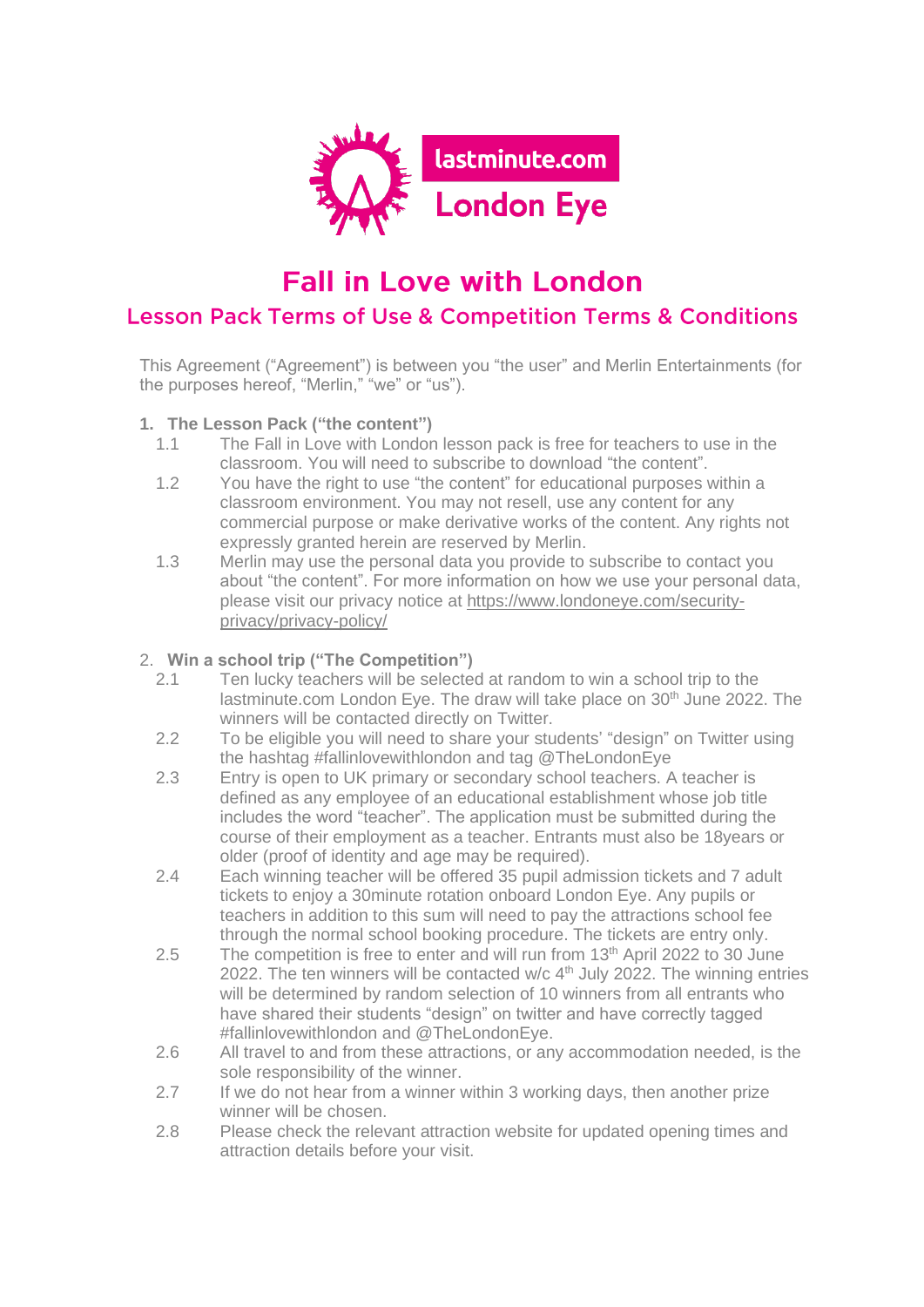

# **Fall in Love with London**

## **Lesson Pack Terms of Use & Competition Terms & Conditions**

This Agreement ("Agreement") is between you "the user" and Merlin Entertainments (for the purposes hereof, "Merlin," "we" or "us").

#### **1. The Lesson Pack ("the content")**

- 1.1 The Fall in Love with London lesson pack is free for teachers to use in the classroom. You will need to subscribe to download "the content".
- 1.2 You have the right to use "the content" for educational purposes within a classroom environment. You may not resell, use any content for any commercial purpose or make derivative works of the content. Any rights not expressly granted herein are reserved by Merlin.
- 1.3 Merlin may use the personal data you provide to subscribe to contact you about "the content". For more information on how we use your personal data, please visit our privacy notice at [https://www.londoneye.com/security](https://www.londoneye.com/security-privacy/privacy-policy/)[privacy/privacy-policy/](https://www.londoneye.com/security-privacy/privacy-policy/)

#### 2. **Win a school trip ("The Competition")**

- 2.1 Ten lucky teachers will be selected at random to win a school trip to the lastminute.com London Eye. The draw will take place on 30<sup>th</sup> June 2022. The winners will be contacted directly on Twitter.
- 2.2 To be eligible you will need to share your students' "design" on Twitter using the hashtag #fallinlovewithlondon and tag @TheLondonEye
- 2.3 Entry is open to UK primary or secondary school teachers. A teacher is defined as any employee of an educational establishment whose job title includes the word "teacher". The application must be submitted during the course of their employment as a teacher. Entrants must also be 18years or older (proof of identity and age may be required).
- 2.4 Each winning teacher will be offered 35 pupil admission tickets and 7 adult tickets to enjoy a 30minute rotation onboard London Eye. Any pupils or teachers in addition to this sum will need to pay the attractions school fee through the normal school booking procedure. The tickets are entry only.
- 2.5 The competition is free to enter and will run from 13<sup>th</sup> April 2022 to 30 June 2022. The ten winners will be contacted w/c  $4<sup>th</sup>$  July 2022. The winning entries will be determined by random selection of 10 winners from all entrants who have shared their students "design" on twitter and have correctly tagged #fallinlovewithlondon and @TheLondonEye.
- 2.6 All travel to and from these attractions, or any accommodation needed, is the sole responsibility of the winner.
- 2.7 If we do not hear from a winner within 3 working days, then another prize winner will be chosen.
- 2.8 Please check the relevant attraction website for updated opening times and attraction details before your visit.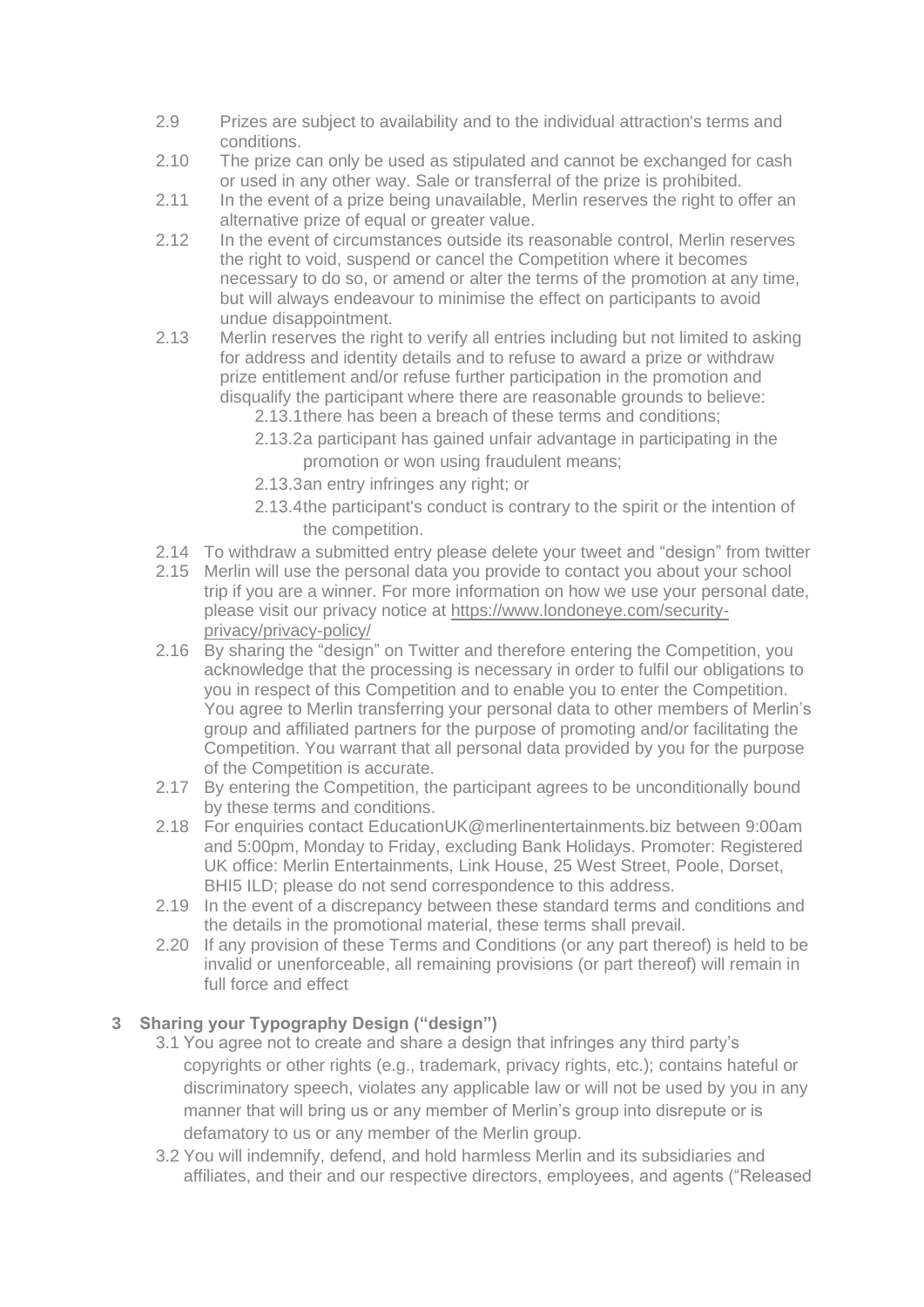- 2.9 Prizes are subject to availability and to the individual attraction's terms and conditions.
- 2.10 The prize can only be used as stipulated and cannot be exchanged for cash or used in any other way. Sale or transferral of the prize is prohibited.
- 2.11 In the event of a prize being unavailable, Merlin reserves the right to offer an alternative prize of equal or greater value.
- 2.12 In the event of circumstances outside its reasonable control, Merlin reserves the right to void, suspend or cancel the Competition where it becomes necessary to do so, or amend or alter the terms of the promotion at any time, but will always endeavour to minimise the effect on participants to avoid undue disappointment.
- 2.13 Merlin reserves the right to verify all entries including but not limited to asking for address and identity details and to refuse to award a prize or withdraw prize entitlement and/or refuse further participation in the promotion and disqualify the participant where there are reasonable grounds to believe:
	- 2.13.1there has been a breach of these terms and conditions;
	- 2.13.2a participant has gained unfair advantage in participating in the promotion or won using fraudulent means;
	- 2.13.3an entry infringes any right; or
	- 2.13.4the participant's conduct is contrary to the spirit or the intention of the competition.
- 2.14 To withdraw a submitted entry please delete your tweet and "design" from twitter
- 2.15 Merlin will use the personal data you provide to contact you about your school trip if you are a winner. For more information on how we use your personal date, please visit our privacy notice at [https://www.londoneye.com/security](https://www.londoneye.com/security-privacy/privacy-policy/)[privacy/privacy-policy/](https://www.londoneye.com/security-privacy/privacy-policy/)
- 2.16 By sharing the "design" on Twitter and therefore entering the Competition, you acknowledge that the processing is necessary in order to fulfil our obligations to you in respect of this Competition and to enable you to enter the Competition. You agree to Merlin transferring your personal data to other members of Merlin's group and affiliated partners for the purpose of promoting and/or facilitating the Competition. You warrant that all personal data provided by you for the purpose of the Competition is accurate.
- 2.17 By entering the Competition, the participant agrees to be unconditionally bound by these terms and conditions.
- 2.18 For enquiries contact EducationUK@merlinentertainments.biz between 9:00am and 5:00pm, Monday to Friday, excluding Bank Holidays. Promoter: Registered UK office: Merlin Entertainments, Link House, 25 West Street, Poole, Dorset, BHI5 ILD; please do not send correspondence to this address.
- 2.19 In the event of a discrepancy between these standard terms and conditions and the details in the promotional material, these terms shall prevail.
- 2.20 If any provision of these Terms and Conditions (or any part thereof) is held to be invalid or unenforceable, all remaining provisions (or part thereof) will remain in full force and effect

### **3 Sharing your Typography Design ("design")**

- 3.1 You agree not to create and share a design that infringes any third party's copyrights or other rights (e.g., trademark, privacy rights, etc.); contains hateful or discriminatory speech, violates any applicable law or will not be used by you in any manner that will bring us or any member of Merlin's group into disrepute or is defamatory to us or any member of the Merlin group.
- 3.2 You will indemnify, defend, and hold harmless Merlin and its subsidiaries and affiliates, and their and our respective directors, employees, and agents ("Released